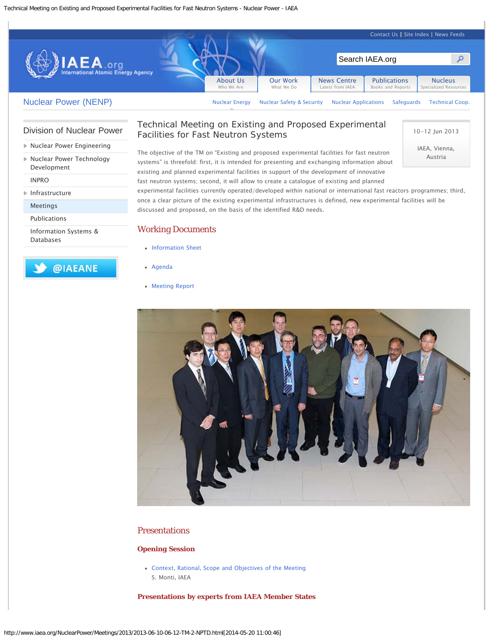

## [Division of Nuclear Power](http://www.iaea.org/nuclearenergy/nuclearpower/index.html)

- [Nuclear Power Engineering](http://www.iaea.org/nuclearenergy/nuclearpower/Engineering/index.html)
- ▶ [Nuclear Power Technology](http://www.iaea.org/nuclearenergy/nuclearpower/Technology/index.html) [Development](http://www.iaea.org/nuclearenergy/nuclearpower/Technology/index.html)

[INPRO](http://www.iaea.org/nuclearenergy/nuclearpower/INPRO/index.html)

[Infrastructure](http://www.iaea.org/nuclearenergy/nuclearpower/Infrastructure/index.html)

[Meetings](http://www.iaea.org/nuclearenergy/nuclearpower/Meetings/index.html)

[Publications](http://www.iaea.org/nuclearenergy/nuclearpower/Publications/index.html)

[Information Systems &](http://www.iaea.org/nuclearenergy/nuclearpower/Systems-and-Databases/index.html) [Databases](http://www.iaea.org/nuclearenergy/nuclearpower/Systems-and-Databases/index.html)

@IAEANE

# Technical Meeting on Existing and Proposed Experimental Facilities for Fast Neutron Systems

The objective of the TM on "Existing and proposed experimental facilities for fast neutron systems" is threefold: first, it is intended for presenting and exchanging information about existing and planned experimental facilities in support of the development of innovative fast neutron systems; second, it will allow to create a catalogue of existing and planned

10-12 Jun 2013

IAEA, Vienna, Austria

experimental facilities currently operated/developed within national or international fast reactors programmes; third, once a clear picture of the existing experimental infrastructures is defined, new experimental facilities will be discussed and proposed, on the basis of the identified R&D needs.

#### Working Documents

- [Information Sheet](http://www.iaea.org/nuclearenergy/nuclearpower/Downloadable/Meetings/2013/2013-06-10-06-12-TM-2-NPTD/info-sheet.pdf)
- [Agenda](http://www.iaea.org/nuclearenergy/nuclearpower/Downloadable/Meetings/2013/2013-06-10-06-12-TM-2-NPTD/agenda.pdf)
- [Meeting Report](http://www.iaea.org/nuclearenergy/nuclearpower/Downloadable/Meetings/2013/2013-06-10-06-12-TM-2-NPTD/report.pdf)



### Presentations

#### **Opening Session**

[Context, Rational, Scope and Objectives of the Meeting](http://www.iaea.org/nuclearenergy/nuclearpower/Downloadable/Meetings/2013/2013-06-10-06-12-TM-2-NPTD/1.monti.pdf)  S. Monti, IAEA

**Presentations by experts from IAEA Member States**